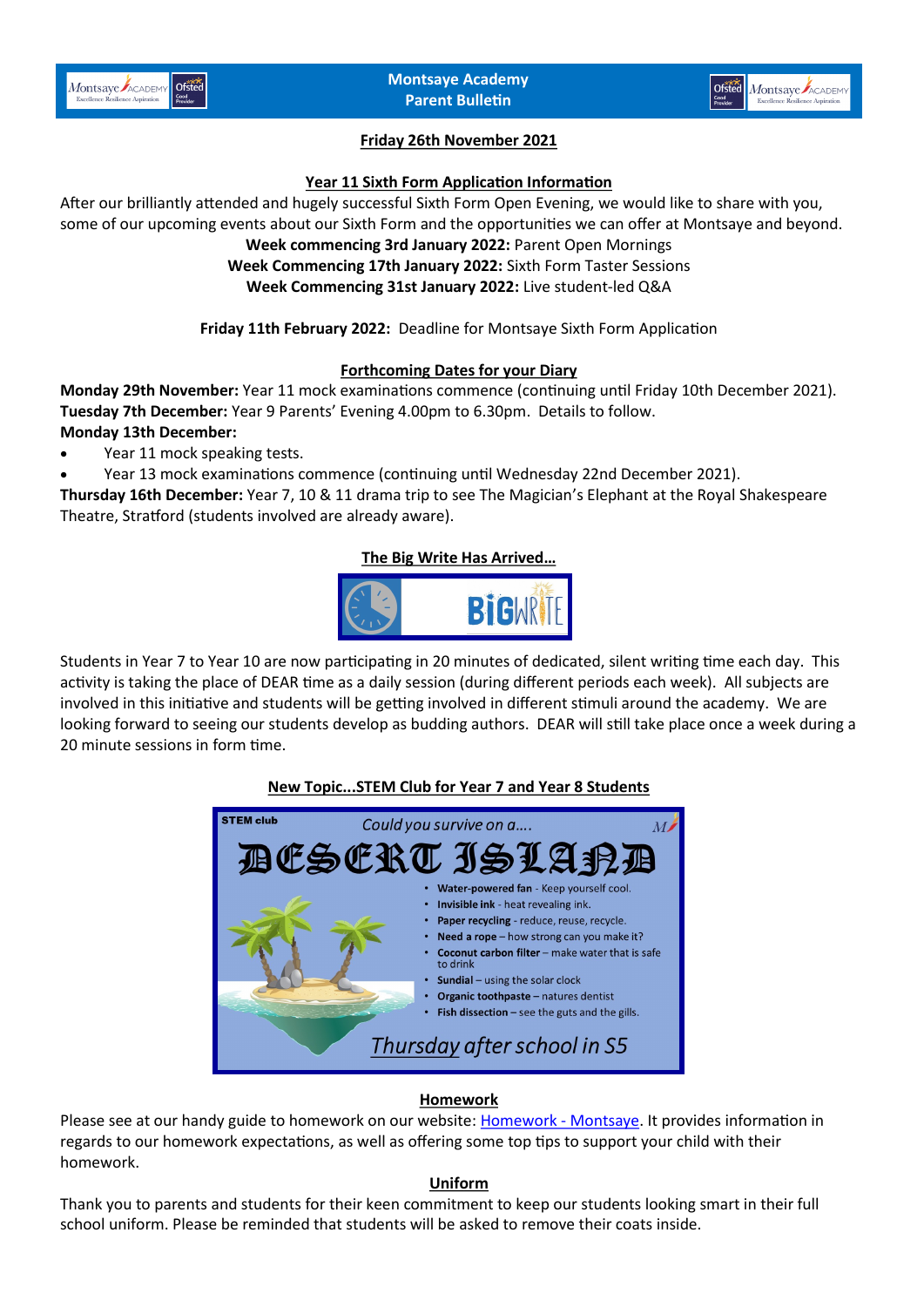



### **Friday 26th November 2021**

#### **Year 11 Sixth Form Application Information**

After our brilliantly attended and hugely successful Sixth Form Open Evening, we would like to share with you, some of our upcoming events about our Sixth Form and the opportunities we can offer at Montsaye and beyond.

### **Week commencing 3rd January 2022:** Parent Open Mornings

**Week Commencing 17th January 2022:** Sixth Form Taster Sessions

**Week Commencing 31st January 2022:** Live student-led Q&A

**Friday 11th February 2022:** Deadline for Montsaye Sixth Form Application

### **Forthcoming Dates for your Diary**

**Monday 29th November:** Year 11 mock examinations commence (continuing until Friday 10th December 2021). **Tuesday 7th December:** Year 9 Parents' Evening 4.00pm to 6.30pm. Details to follow. **Monday 13th December:** 

Year 11 mock speaking tests.

• Year 13 mock examinations commence (continuing until Wednesday 22nd December 2021).

**Thursday 16th December:** Year 7, 10 & 11 drama trip to see The Magician's Elephant at the Royal Shakespeare Theatre, Stratford (students involved are already aware).

### **The Big Write Has Arrived…**



Students in Year 7 to Year 10 are now participating in 20 minutes of dedicated, silent writing time each day. This activity is taking the place of DEAR time as a daily session (during different periods each week). All subjects are involved in this initiative and students will be getting involved in different stimuli around the academy. We are looking forward to seeing our students develop as budding authors. DEAR will still take place once a week during a 20 minute sessions in form time.

# Could you survive on a... R AT. Water-powered fan - Keep yourself cool. Invisible ink - heat revealing ink. Paper recycling - reduce, reuse, recycle. Need a rope - how strong can you make it? Coconut carbon filter - make water that is safe to drink Sundial - using the solar clock Organic toothpaste - natures dentist Fish dissection  $-$  see the guts and the gills. Thursday after school in S5

### **Homework**

Please see at our handy guide to homework on our website: [Homework](https://www.montsaye.northants.sch.uk/parents/homework/) - Montsaye. It provides information in regards to our homework expectations, as well as offering some top tips to support your child with their homework.

#### **Uniform**

Thank you to parents and students for their keen commitment to keep our students looking smart in their full school uniform. Please be reminded that students will be asked to remove their coats inside.

### **New Topic...STEM Club for Year 7 and Year 8 Students**